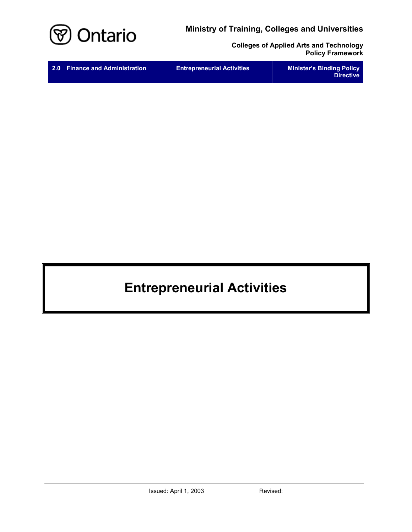

**Colleges of Applied Arts and Technology Policy Framework** 

# **Entrepreneurial Activities**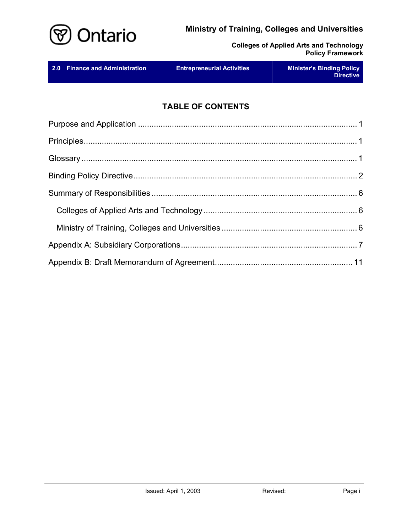

**Colleges of Applied Arts and Technology Policy Framework** 

| 2.0 Finance and Administration | <b>Entrepreneurial Activities</b> | <b>Minister's Binding Policy</b><br><b>Directive</b> |
|--------------------------------|-----------------------------------|------------------------------------------------------|
|--------------------------------|-----------------------------------|------------------------------------------------------|

# **TABLE OF CONTENTS**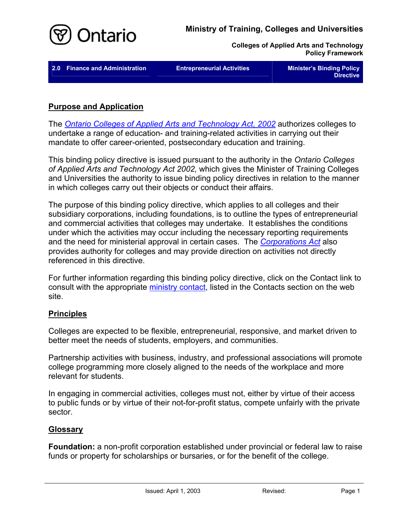<span id="page-2-0"></span>

| 2.0 Finance and Administration | <b>Entrepreneurial Activities</b> | <b>Minister's Binding Policy</b><br><b>Directive</b> |
|--------------------------------|-----------------------------------|------------------------------------------------------|
|                                |                                   |                                                      |

## **Purpose and Application**

The *[Ontario Colleges of Applied Arts and Technology Act, 2002](http://www.e-laws.gov.on.ca/html/statutes/english/elaws_statutes_02o08f_e.htm)* authorizes colleges to undertake a range of education- and training-related activities in carrying out their mandate to offer career-oriented, postsecondary education and training.

This binding policy directive is issued pursuant to the authority in the *Ontario Colleges of Applied Arts and Technology Act 2002,* which gives the Minister of Training Colleges and Universities the authority to issue binding policy directives in relation to the manner in which colleges carry out their objects or conduct their affairs.

The purpose of this binding policy directive, which applies to all colleges and their subsidiary corporations, including foundations, is to outline the types of entrepreneurial and commercial activities that colleges may undertake. It establishes the conditions under which the activities may occur including the necessary reporting requirements and the need for ministerial approval in certain cases. The *[Corporations Act](http://www.e-laws.gov.on.ca/html/statutes/english/elaws_statutes_90c38_e.htm)* also provides authority for colleges and may provide direction on activities not directly referenced in this directive.

For further information regarding this binding policy directive, click on the Contact link to consult with the appropriate [ministry contact,](http://caat.edu.gov.on.ca/HTMLpages/Contacts_Eng.html#Entrepreneurial_Activities) listed in the Contacts section on the web site.

### **Principles**

Colleges are expected to be flexible, entrepreneurial, responsive, and market driven to better meet the needs of students, employers, and communities.

Partnership activities with business, industry, and professional associations will promote college programming more closely aligned to the needs of the workplace and more relevant for students.

In engaging in commercial activities, colleges must not, either by virtue of their access to public funds or by virtue of their not-for-profit status, compete unfairly with the private sector.

# **Glossary**

**Foundation:** a non-profit corporation established under provincial or federal law to raise funds or property for scholarships or bursaries, or for the benefit of the college.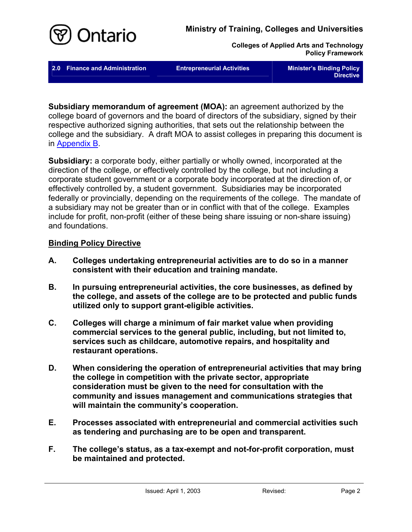<span id="page-3-0"></span>

**2.0 Finance and Administration Entrepreneurial Activities Minister's Binding Policy** 

**Directive** 

**Subsidiary memorandum of agreement (MOA):** an agreement authorized by the college board of governors and the board of directors of the subsidiary, signed by their respective authorized signing authorities, that sets out the relationship between the college and the subsidiary. A draft MOA to assist colleges in preparing this document is in [Appendix B.](#page-12-0)

**Subsidiary:** a corporate body, either partially or wholly owned, incorporated at the direction of the college, or effectively controlled by the college, but not including a corporate student government or a corporate body incorporated at the direction of, or effectively controlled by, a student government. Subsidiaries may be incorporated federally or provincially, depending on the requirements of the college. The mandate of a subsidiary may not be greater than or in conflict with that of the college. Examples include for profit, non-profit (either of these being share issuing or non-share issuing) and foundations.

## **Binding Policy Directive**

- **A. Colleges undertaking entrepreneurial activities are to do so in a manner consistent with their education and training mandate.**
- **B. In pursuing entrepreneurial activities, the core businesses, as defined by the college, and assets of the college are to be protected and public funds utilized only to support grant-eligible activities.**
- **C. Colleges will charge a minimum of fair market value when providing commercial services to the general public, including, but not limited to, services such as childcare, automotive repairs, and hospitality and restaurant operations.**
- **D. When considering the operation of entrepreneurial activities that may bring the college in competition with the private sector, appropriate consideration must be given to the need for consultation with the community and issues management and communications strategies that will maintain the community's cooperation.**
- **E. Processes associated with entrepreneurial and commercial activities such as tendering and purchasing are to be open and transparent.**
- **F. The college's status, as a tax-exempt and not-for-profit corporation, must be maintained and protected.**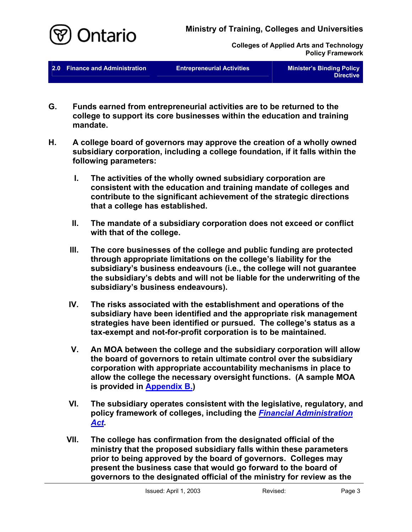

**2.0 Finance and Administration <b>Entrepreneurial Activities** Minister's Binding Policy

**Directive**

- **G. Funds earned from entrepreneurial activities are to be returned to the college to support its core businesses within the education and training mandate.**
- **H. A college board of governors may approve the creation of a wholly owned subsidiary corporation, including a college foundation, if it falls within the following parameters:** 
	- **I. The activities of the wholly owned subsidiary corporation are consistent with the education and training mandate of colleges and contribute to the significant achievement of the strategic directions that a college has established.**
	- **II. The mandate of a subsidiary corporation does not exceed or conflict with that of the college.**
	- **III. The core businesses of the college and public funding are protected through appropriate limitations on the college's liability for the subsidiary's business endeavours (i.e., the college will not guarantee the subsidiary's debts and will not be liable for the underwriting of the subsidiary's business endeavours).**
	- **IV. The risks associated with the establishment and operations of the subsidiary have been identified and the appropriate risk management strategies have been identified or pursued. The college's status as a tax-exempt and not-for-profit corporation is to be maintained.**
	- **V. An MOA between the college and the subsidiary corporation will allow the board of governors to retain ultimate control over the subsidiary corporation with appropriate accountability mechanisms in place to allow the college the necessary oversight functions. (A sample MOA is provided in [Appendix](#page-12-0) B.)**
	- **VI. The subsidiary operates consistent with the legislative, regulatory, and policy framework of colleges, including the** *[Financial Administration](http://www.e-laws.gov.on.ca/html/statutes/english/elaws_statutes_90f12_e.htm)  [Act](http://www.e-laws.gov.on.ca/html/statutes/english/elaws_statutes_90f12_e.htm).*
	- **VII. The college has confirmation from the designated official of the ministry that the proposed subsidiary falls within these parameters prior to being approved by the board of governors. Colleges may present the business case that would go forward to the board of governors to the designated official of the ministry for review as the**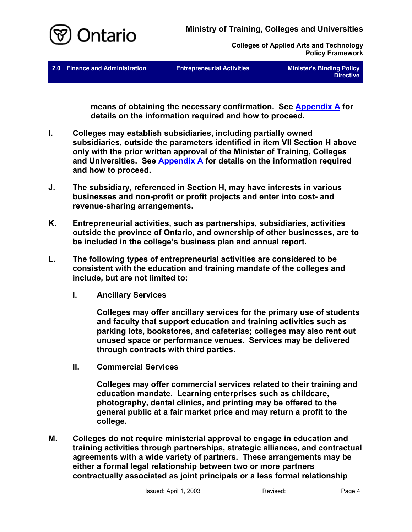

**2.0 Finance and Administration Entrepreneurial Activities Minister's Binding Policy** 

**Directive** 

**means of obtaining the necessary confirmation. See [Appendix A](#page-8-0) for details on the information required and how to proceed.** 

- **I. Colleges may establish subsidiaries, including partially owned subsidiaries, outside the parameters identified in item VII Section H above only with the prior written approval of the Minister of Training, Colleges and Universities. See [Appendix A](#page-8-0) for details on the information required and how to proceed.**
- **J. The subsidiary, referenced in Section H, may have interests in various businesses and non-profit or profit projects and enter into cost- and revenue-sharing arrangements.**
- **K. Entrepreneurial activities, such as partnerships, subsidiaries, activities outside the province of Ontario, and ownership of other businesses, are to be included in the college's business plan and annual report.**
- **L. The following types of entrepreneurial activities are considered to be consistent with the education and training mandate of the colleges and include, but are not limited to:** 
	- **I. Ancillary Services**

**Colleges may offer ancillary services for the primary use of students and faculty that support education and training activities such as parking lots, bookstores, and cafeterias; colleges may also rent out unused space or performance venues. Services may be delivered through contracts with third parties.** 

**II. Commercial Services** 

> **Colleges may offer commercial services related to their training and education mandate. Learning enterprises such as childcare, photography, dental clinics, and printing may be offered to the general public at a fair market price and may return a profit to the college.**

**M. Colleges do not require ministerial approval to engage in education and training activities through partnerships, strategic alliances, and contractual agreements with a wide variety of partners. These arrangements may be either a formal legal relationship between two or more partners contractually associated as joint principals or a less formal relationship**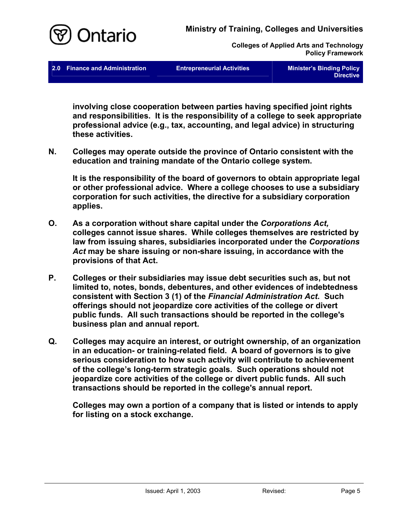

**2.0 Finance and Administration Contrepreneurial Activities Controller Minister's Binding Policy** 

**Directive** 

**involving close cooperation between parties having specified joint rights and responsibilities. It is the responsibility of a college to seek appropriate professional advice (e.g., tax, accounting, and legal advice) in structuring these activities.** 

**N. Colleges may operate outside the province of Ontario consistent with the education and training mandate of the Ontario college system.** 

**It is the responsibility of the board of governors to obtain appropriate legal or other professional advice. Where a college chooses to use a subsidiary corporation for such activities, the directive for a subsidiary corporation applies.** 

- **O. As a corporation without share capital under the** *Corporations Act,* **colleges cannot issue shares. While colleges themselves are restricted by law from issuing shares, subsidiaries incorporated under the** *Corporations Act* **may be share issuing or non-share issuing, in accordance with the provisions of that Act.**
- **P. Colleges or their subsidiaries may issue debt securities such as, but not limited to, notes, bonds, debentures, and other evidences of indebtedness consistent with Section 3 (1) of the** *Financial Administration Act***. Such offerings should not jeopardize core activities of the college or divert public funds. All such transactions should be reported in the college's business plan and annual report.**
- **Q. Colleges may acquire an interest, or outright ownership, of an organization in an education- or training-related field. A board of governors is to give serious consideration to how such activity will contribute to achievement of the college's long-term strategic goals. Such operations should not jeopardize core activities of the college or divert public funds. All such transactions should be reported in the college's annual report.**

**Colleges may own a portion of a company that is listed or intends to apply for listing on a stock exchange.**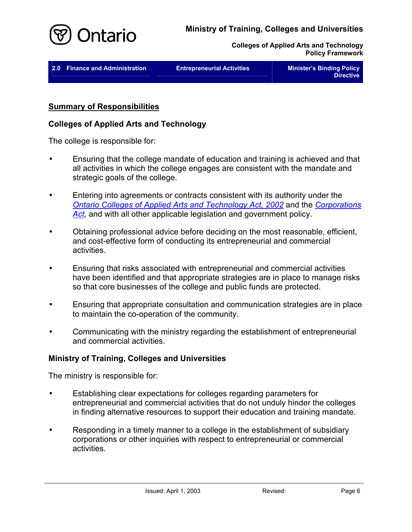

<span id="page-7-0"></span>

| 2.0 Finance and Administration | <b>Entrepreneurial Activities</b> | <b>Minister's Binding Policy</b><br><b>Directive</b> |
|--------------------------------|-----------------------------------|------------------------------------------------------|
|                                |                                   |                                                      |

### **Summary of Responsibilities**

#### **Colleges of Applied Arts and Technology**

The college is responsible for:

- Ensuring that the college mandate of education and training is achieved and that all activities in which the college engages are consistent with the mandate and strategic goals of the college. •
- Entering into agreements or contracts consistent with its authority under the *[Ontario Colleges of Applied Arts and Technology Act, 2002](http://www.e-laws.gov.on.ca/html/statutes/english/elaws_statutes_02o08f_e.htm)* and the *[Corporations](http://www.e-laws.gov.on.ca/html/statutes/english/elaws_statutes_90c38_e.htm)*  [Act](http://www.e-laws.gov.on.ca/html/statutes/english/elaws_statutes_90c38_e.htm)<sub>r</sub> and with all other applicable legislation and government policy.
- Obtaining professional advice before deciding on the most reasonable, efficient, and cost-effective form of conducting its entrepreneurial and commercial activities. •
- Ensuring that risks associated with entrepreneurial and commercial activities have been identified and that appropriate strategies are in place to manage risks so that core businesses of the college and public funds are protected.
- Ensuring that appropriate consultation and communication strategies are in place to maintain the co-operation of the community.
- Communicating with the ministry regarding the establishment of entrepreneurial and commercial activities.

### **Ministry of Training, Colleges and Universities**

The ministry is responsible for:

- Establishing clear expectations for colleges regarding parameters for entrepreneurial and commercial activities that do not unduly hinder the colleges in finding alternative resources to support their education and training mandate.
- Responding in a timely manner to a college in the establishment of subsidiary corporations or other inquiries with respect to entrepreneurial or commercial activities.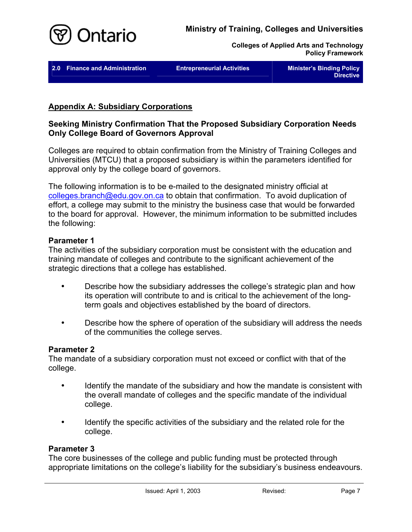<span id="page-8-0"></span>

**2.0 Finance and Administration Contract Entrepreneurial Activities Contract Minister's Binding Policy** 

**Directive** 

# **Appendix A: Subsidiary Corporations**

# **Seeking Ministry Confirmation That the Proposed Subsidiary Corporation Needs Only College Board of Governors Approval**

Colleges are required to obtain confirmation from the Ministry of Training Colleges and Universities (MTCU) that a proposed subsidiary is within the parameters identified for approval only by the college board of governors.

The following information is to be e-mailed to the designated ministry official at [colleges.branch@edu.gov.on.ca](mailto:colleges.branch@edu.gov.on.ca) to obtain that confirmation. To avoid duplication of effort, a college may submit to the ministry the business case that would be forwarded to the board for approval. However, the minimum information to be submitted includes the following:

## **Parameter 1**

The activities of the subsidiary corporation must be consistent with the education and training mandate of colleges and contribute to the significant achievement of the strategic directions that a college has established.

- Describe how the subsidiary addresses the college's strategic plan and how its operation will contribute to and is critical to the achievement of the longterm goals and objectives established by the board of directors. •
- Describe how the sphere of operation of the subsidiary will address the needs of the communities the college serves.

# **Parameter 2**

The mandate of a subsidiary corporation must not exceed or conflict with that of the college.

- Identify the mandate of the subsidiary and how the mandate is consistent with the overall mandate of colleges and the specific mandate of the individual college.
- Identify the specific activities of the subsidiary and the related role for the college.

# **Parameter 3**

The core businesses of the college and public funding must be protected through appropriate limitations on the college's liability for the subsidiary's business endeavours.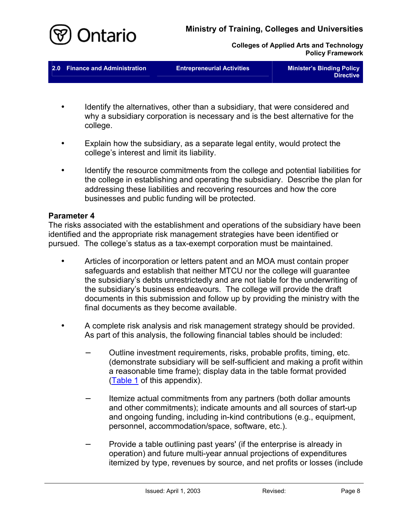

**Colleges of Applied Arts and Technology Policy Framework** 

**2.0 Finance and Administration <b>Entrepreneurial Activities** Minister's Binding Policy

**Directive**

- Identify the alternatives, other than a subsidiary, that were considered and why a subsidiary corporation is necessary and is the best alternative for the college.
- Explain how the subsidiary, as a separate legal entity, would protect the college's interest and limit its liability.
- Identify the resource commitments from the college and potential liabilities for the college in establishing and operating the subsidiary. Describe the plan for addressing these liabilities and recovering resources and how the core businesses and public funding will be protected.

### **Parameter 4**

The risks associated with the establishment and operations of the subsidiary have been identified and the appropriate risk management strategies have been identified or pursued. The college's status as a tax-exempt corporation must be maintained.

- Articles of incorporation or letters patent and an MOA must contain proper safeguards and establish that neither MTCU nor the college will guarantee the subsidiary's debts unrestrictedly and are not liable for the underwriting of the subsidiary's business endeavours. The college will provide the draft documents in this submission and follow up by providing the ministry with the final documents as they become available.
- A complete risk analysis and risk management strategy should be provided. As part of this analysis, the following financial tables should be included:
	- − Outline investment requirements, risks, probable profits, timing, etc. (demonstrate subsidiary will be self-sufficient and making a profit within a reasonable time frame); display data in the table format provided ([Table 1](#page-11-0) of this appendix).
	- Itemize actual commitments from any partners (both dollar amounts and other commitments); indicate amounts and all sources of start-up and ongoing funding, including in-kind contributions (e.g., equipment, personnel, accommodation/space, software, etc.). −
	- Provide a table outlining past years' (if the enterprise is already in operation) and future multi-year annual projections of expenditures itemized by type, revenues by source, and net profits or losses (include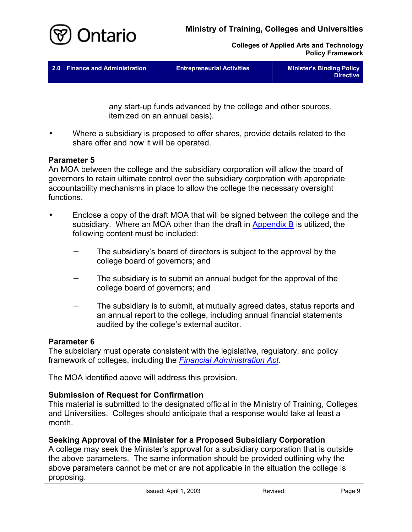

**Colleges of Applied Arts and Technology Policy Framework** 

|--|

any start-up funds advanced by the college and other sources, itemized on an annual basis).

Where a subsidiary is proposed to offer shares, provide details related to the share offer and how it will be operated. •

## **Parameter 5**

An MOA between the college and the subsidiary corporation will allow the board of governors to retain ultimate control over the subsidiary corporation with appropriate accountability mechanisms in place to allow the college the necessary oversight functions.

- Enclose a copy of the draft MOA that will be signed between the college and the subsidiary. Where an MOA other than the draft in **Appendix B** is utilized, the following content must be included:
	- The subsidiary's board of directors is subject to the approval by the college board of governors; and −
	- − The subsidiary is to submit an annual budget for the approval of the college board of governors; and
	- − The subsidiary is to submit, at mutually agreed dates, status reports and an annual report to the college, including annual financial statements audited by the college's external auditor.

### **Parameter 6**

The subsidiary must operate consistent with the legislative, regulatory, and policy framework of colleges, including the *[Financial Administration Act](http://www.e-laws.gov.on.ca/html/statutes/english/elaws_statutes_90f12_e.htm)*.

The MOA identified above will address this provision.

# **Submission of Request for Confirmation**

This material is submitted to the designated official in the Ministry of Training, Colleges and Universities. Colleges should anticipate that a response would take at least a month.

# **Seeking Approval of the Minister for a Proposed Subsidiary Corporation**

A college may seek the Minister's approval for a subsidiary corporation that is outside the above parameters. The same information should be provided outlining why the above parameters cannot be met or are not applicable in the situation the college is proposing.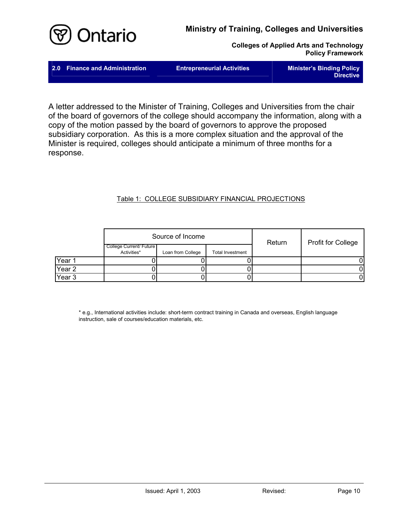<span id="page-11-0"></span>

**Colleges of Applied Arts and Technology Policy Framework** 

| 2.0 Finance and Administration | <b>Entrepreneurial Activities</b> | <b>Minister's Binding Policy</b><br><b>Directive</b> |
|--------------------------------|-----------------------------------|------------------------------------------------------|
|                                |                                   |                                                      |

A letter addressed to the Minister of Training, Colleges and Universities from the chair of the board of governors of the college should accompany the information, along with a copy of the motion passed by the board of governors to approve the proposed subsidiary corporation. As this is a more complex situation and the approval of the Minister is required, colleges should anticipate a minimum of three months for a response.

#### Table 1: COLLEGE SUBSIDIARY FINANCIAL PROJECTIONS

|                   |                                        | Source of Income  |                  | Return | <b>Profit for College</b> |
|-------------------|----------------------------------------|-------------------|------------------|--------|---------------------------|
|                   | College Current/ Future<br>Activities* | Loan from College | Total Investment |        |                           |
| Year 1            |                                        |                   |                  |        |                           |
| Year <sub>2</sub> |                                        |                   |                  |        |                           |
| Year <sub>3</sub> |                                        |                   |                  |        |                           |

\* e.g., International activities include: short-term contract training in Canada and overseas, English language instruction, sale of courses/education materials, etc.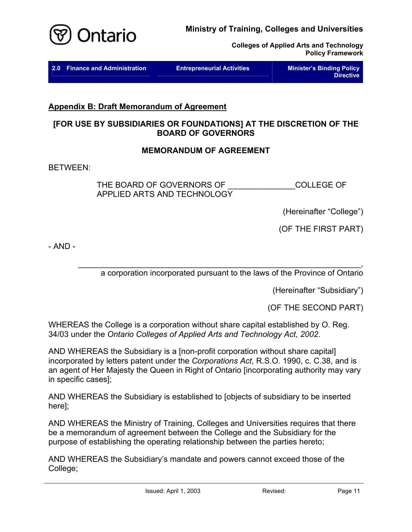<span id="page-12-0"></span>

**Colleges of Applied Arts and Technology Policy Framework** 

| 2.0 Finance and Administration | <b>Entrepreneurial Activities</b> | <b>Minister's Binding Policy</b><br>Directive |
|--------------------------------|-----------------------------------|-----------------------------------------------|
|                                |                                   |                                               |

# **Appendix B: Draft Memorandum of Agreement**

# **[FOR USE BY SUBSIDIARIES OR FOUNDATIONS] AT THE DISCRETION OF THE BOARD OF GOVERNORS**

## **MEMORANDUM OF AGREEMENT**

BETWEEN:

THE BOARD OF GOVERNORS OF **EXAMPLE COLLEGE OF** APPLIED ARTS AND TECHNOLOGY

(Hereinafter "College")

(OF THE FIRST PART)

- AND -

 $\blacksquare$ a corporation incorporated pursuant to the laws of the Province of Ontario

(Hereinafter "Subsidiary")

(OF THE SECOND PART)

WHEREAS the College is a corporation without share capital established by O. Reg. 34/03 under the *Ontario Colleges of Applied Arts and Technology Act, 2002*.

AND WHEREAS the Subsidiary is a [non-profit corporation without share capital] incorporated by letters patent under the *Corporations Act*, R.S.O. 1990, c. C.38, and is an agent of Her Majesty the Queen in Right of Ontario [incorporating authority may vary in specific cases];

AND WHEREAS the Subsidiary is established to [objects of subsidiary to be inserted here];

AND WHEREAS the Ministry of Training, Colleges and Universities requires that there be a memorandum of agreement between the College and the Subsidiary for the purpose of establishing the operating relationship between the parties hereto;

AND WHEREAS the Subsidiary's mandate and powers cannot exceed those of the College;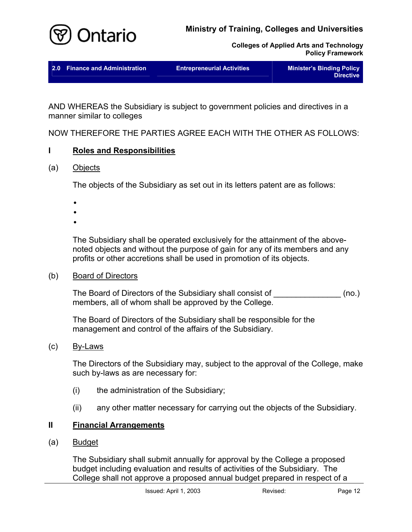

**Colleges of Applied Arts and Technology Policy Framework** 

|  |  | 2.0 Finance and Administration | <b>Entrepreneurial Activities</b> | <b>Minister's Binding Policy</b><br><b>Directive</b> |
|--|--|--------------------------------|-----------------------------------|------------------------------------------------------|
|--|--|--------------------------------|-----------------------------------|------------------------------------------------------|

AND WHEREAS the Subsidiary is subject to government policies and directives in a manner similar to colleges

NOW THEREFORE THE PARTIES AGREE EACH WITH THE OTHER AS FOLLOWS:

# **I Roles and Responsibilities**

# (a) Objects

The objects of the Subsidiary as set out in its letters patent are as follows:

- •
- •
- •

The Subsidiary shall be operated exclusively for the attainment of the abovenoted objects and without the purpose of gain for any of its members and any profits or other accretions shall be used in promotion of its objects.

### (b) Board of Directors

The Board of Directors of the Subsidiary shall consist of  $\qquad \qquad \text{(no.)}$ members, all of whom shall be approved by the College.

The Board of Directors of the Subsidiary shall be responsible for the management and control of the affairs of the Subsidiary.

# (c) By-Laws

The Directors of the Subsidiary may, subject to the approval of the College, make such by-laws as are necessary for:

- (i) the administration of the Subsidiary;
- (ii) any other matter necessary for carrying out the objects of the Subsidiary.

# **II Financial Arrangements**

(a) Budget

The Subsidiary shall submit annually for approval by the College a proposed budget including evaluation and results of activities of the Subsidiary. The College shall not approve a proposed annual budget prepared in respect of a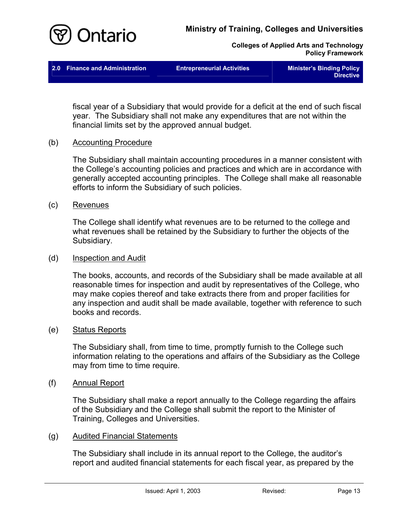





fiscal year of a Subsidiary that would provide for a deficit at the end of such fiscal year. The Subsidiary shall not make any expenditures that are not within the financial limits set by the approved annual budget.

#### (b) Accounting Procedure

The Subsidiary shall maintain accounting procedures in a manner consistent with the College's accounting policies and practices and which are in accordance with generally accepted accounting principles. The College shall make all reasonable efforts to inform the Subsidiary of such policies.

#### (c) Revenues

The College shall identify what revenues are to be returned to the college and what revenues shall be retained by the Subsidiary to further the objects of the Subsidiary.

#### (d) Inspection and Audit

The books, accounts, and records of the Subsidiary shall be made available at all reasonable times for inspection and audit by representatives of the College, who may make copies thereof and take extracts there from and proper facilities for any inspection and audit shall be made available, together with reference to such books and records.

#### (e) Status Reports

The Subsidiary shall, from time to time, promptly furnish to the College such information relating to the operations and affairs of the Subsidiary as the College may from time to time require.

#### (f) Annual Report

The Subsidiary shall make a report annually to the College regarding the affairs of the Subsidiary and the College shall submit the report to the Minister of Training, Colleges and Universities.

### (g) Audited Financial Statements

The Subsidiary shall include in its annual report to the College, the auditor's report and audited financial statements for each fiscal year, as prepared by the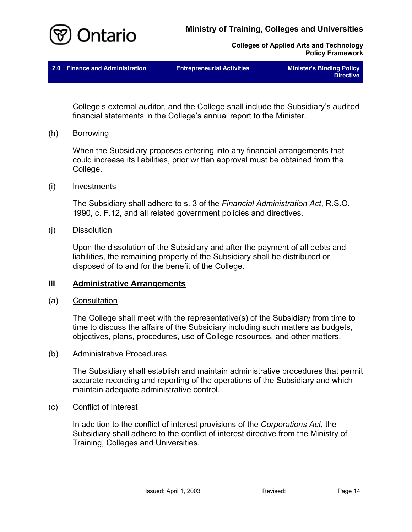



| 2.0 Finance and Administration | <b>Entrepreneurial Activities</b> | <b>Minister's Binding Policy</b><br><b>Directive</b> |
|--------------------------------|-----------------------------------|------------------------------------------------------|
|                                |                                   |                                                      |

College's external auditor, and the College shall include the Subsidiary's audited financial statements in the College's annual report to the Minister.

(h) Borrowing

When the Subsidiary proposes entering into any financial arrangements that could increase its liabilities, prior written approval must be obtained from the College.

(i) Investments

The Subsidiary shall adhere to s. 3 of the *Financial Administration Act*, R.S.O. 1990, c. F.12, and all related government policies and directives.

(j) Dissolution

Upon the dissolution of the Subsidiary and after the payment of all debts and liabilities, the remaining property of the Subsidiary shall be distributed or disposed of to and for the benefit of the College.

#### **III Administrative Arrangements**

(a) Consultation

The College shall meet with the representative(s) of the Subsidiary from time to time to discuss the affairs of the Subsidiary including such matters as budgets, objectives, plans, procedures, use of College resources, and other matters.

#### (b) Administrative Procedures

The Subsidiary shall establish and maintain administrative procedures that permit accurate recording and reporting of the operations of the Subsidiary and which maintain adequate administrative control.

#### (c) Conflict of Interest

In addition to the conflict of interest provisions of the *Corporations Act*, the Subsidiary shall adhere to the conflict of interest directive from the Ministry of Training, Colleges and Universities.